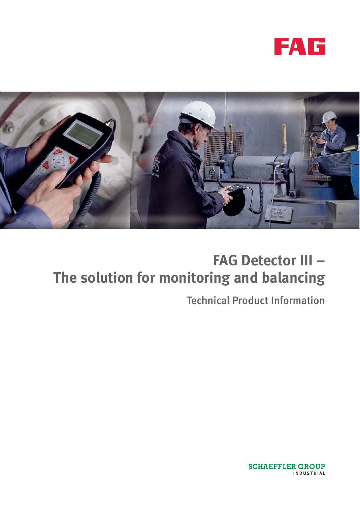



# **FAG Detector III – The solution for monitoring and balancing**

Technical Product Information

**SCHAEFFLER GROUP** INDUSTRIAL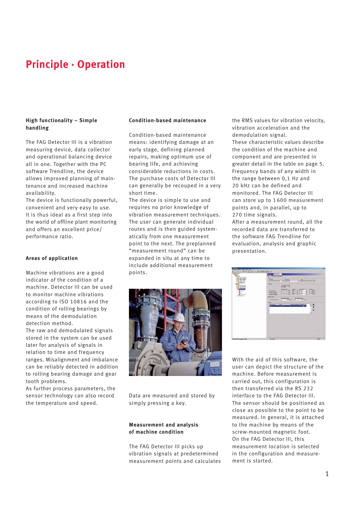### **Principle · Operation**

#### **High functionality – Simple handling**

The FAG Detector III is a vibration measuring device, data collector and operational balancing device all in one. Together with the PC software Trendline, the device allows improved planning of maintenance and increased machine availability.

The device is functionally powerful, convenient and very easy to use. It is thus ideal as a first step into the world of offline plant monitoring and offers an excellent price/ performance ratio.

#### **Areas of application**

Machine vibrations are a good indicator of the condition of a machine. Detector III can be used to monitor machine vibrations according to ISO 10816 and the condition of rolling bearings by means of the demodulation detection method.

The raw and demodulated signals stored in the system can be used later for analysis of signals in relation to time and frequency ranges. Misalignment and imbalance can be reliably detected in addition to rolling bearing damage and gear tooth problems.

As further process parameters, the sensor technology can also record the temperature and speed.

#### **Condition-based maintenance**

Condition-based maintenance means: identifying damage at an early stage, defining planned repairs, making optimum use of bearing life, and achieving considerable reductions in costs. The purchase costs of Detector III can generally be recouped in a very short time.

The device is simple to use and requires no prior knowledge of vibration measurement techniques. The user can generate individual routes and is then guided systematically from one measurement point to the next. The preplanned "measurement round" can be expanded in situ at any time to include additional measurement points.



Data are measured and stored by simply pressing a key.

#### **Measurement and analysis of machine condition**

The FAG Detector III picks up vibration signals at predetermined measurement points and calculates

the RMS values for vibration velocity, vibration acceleration and the demodulation signal. These characteristic values describe the condition of the machine and component and are presented in greater detail in the table on page 5. Frequency bands of any width in the range between 0,1 Hz and 20 kHz can be defined and monitored. The FAG Detector III can store up to 1600 measurement points and, in parallel, up to 270 time signals.

After a measurement round, all the recorded data are transferred to the software FAG Trendline for evaluation, analysis and graphic presentation.

| THIS CAPACITY OF THE TANK OF<br>$\sim$<br><b>Contract</b><br><b>Bill</b> Fact<br>$-0$ hall<br><b>TENNISSE</b><br><b>HE HAVANA</b><br><b>Business</b><br>÷<br>- Chicagonalista<br><b>Miller</b><br><b>District College</b><br>٠<br><b>CENTRAL</b><br>ï<br><b>BE FIRE VOL. 2 of</b><br>٠<br>$+ + +$<br>×<br><b>SERVICE</b><br>$\mathbf{H}$<br><b>Cold</b><br><b>B</b> Letterance<br>Th boundaries | <b>PROFITA STAT</b><br><b>SHAFT</b><br>on Dribute consideration<br><b>State</b><br><b>ATTACHED &amp; ATT</b><br><b>Communication</b><br><b>Serger</b><br><b>There</b> have increase<br><b>Billiament</b><br>я<br><b>HARACHER</b><br><b>COL</b><br>$\overline{\mathbf{r}}$<br>YB.<br>m<br>÷<br><b>Separate</b><br>3<br>ΥĖ<br>$1 - 1$<br><b>Supremento</b><br><b>Grant</b><br>w<br>٧ŵ<br><b>Strap &amp; Broadcast</b><br><b><i><u>Manufacture</u></i></b><br><b>PA dentity of the</b><br><b>CONTRACTOR</b><br>/ Installations<br>-<br><b>Service countries and Chapt complete</b><br>٠<br>÷ | π     |
|-------------------------------------------------------------------------------------------------------------------------------------------------------------------------------------------------------------------------------------------------------------------------------------------------------------------------------------------------------------------------------------------------|-------------------------------------------------------------------------------------------------------------------------------------------------------------------------------------------------------------------------------------------------------------------------------------------------------------------------------------------------------------------------------------------------------------------------------------------------------------------------------------------------------------------------------------------------------------------------------------------|-------|
| The Hottling Library                                                                                                                                                                                                                                                                                                                                                                            | <b>The price</b>                                                                                                                                                                                                                                                                                                                                                                                                                                                                                                                                                                          | $m+n$ |

With the aid of this software, the user can depict the structure of the machine. Before measurement is carried out, this configuration is then transferred via the RS 232 interface to the FAG Detector III. The sensor should be positioned as close as possible to the point to be measured. In general, it is attached to the machine by means of the screw-mounted magnetic foot. On the FAG Detector III, this measurement location is selected in the configuration and measurement is started.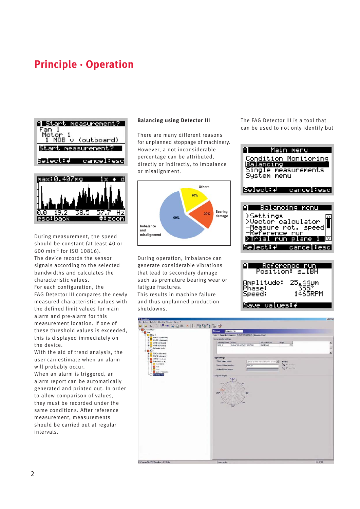## **Principle · Operation**





During measurement, the speed should be constant (at least 40 or 600 min-1 for ISO 10816). The device records the sensor signals according to the selected bandwidths and calculates the characteristic values.

For each configuration, the FAG Detector III compares the newly measured characteristic values with the defined limit values for main alarm and pre-alarm for this measurement location. If one of these threshold values is exceeded, this is displayed immediately on the device.

With the aid of trend analysis, the user can estimate when an alarm will probably occur.

When an alarm is triggered, an alarm report can be automatically generated and printed out. In order to allow comparison of values, they must be recorded under the same conditions. After reference measurement, measurements should be carried out at regular intervals.

#### **Balancing using Detector III**

There are many different reasons for unplanned stoppage of machinery. However, a not inconsiderable percentage can be attributed, directly or indirectly, to imbalance or misalignment.



During operation, imbalance can generate considerable vibrations that lead to secondary damage such as premature bearing wear or fatigue fractures.

This results in machine failure and thus unplanned production shutdowns.

The FAG Detector III is a tool that can be used to not only identify but



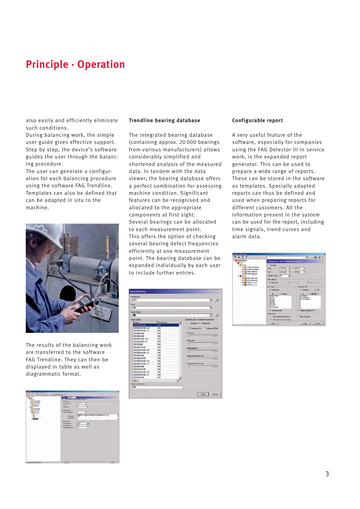### **Principle · Operation**

also easily and efficiently eliminate such conditions.

During balancing work, the simple user guide gives effective support. Step by step, the device's software guides the user through the balancing procedure.

The user can generate a configuration for each balancing procedure using the software FAG Trendline. Templates can also be defined that can be adapted in situ to the machine.



The results of the balancing work are transferred to the software FAG Trendline. They can then be displayed in table as well as diagrammatic format.



#### **Trendline bearing database**

The integrated bearing database (containing approx. 20 000 bearings from various manufacturers) allows considerably simplified and shortened analysis of the measured data. In tandem with the data viewer, the bearing database offers a perfect combination for assessing machine condition. Significant features can be recognised and allocated to the appropriate components at first sight. Several bearings can be allocated to each measurement point. This offers the option of checking several bearing defect frequencies efficiently at one measurement point. The bearing database can be expanded individually by each user to include further entries.

| Manufacturer        |              |                                        |
|---------------------|--------------|----------------------------------------|
| FAG                 |              | <b>Jul</b><br>⋥                        |
| Group               |              |                                        |
| alle                |              | ×                                      |
|                     |              |                                        |
| Search criteria     |              |                                        |
| E7                  |              | <b>Part</b><br>⋥                       |
| Search results      |              | Geometry data or kinematic frequencies |
| Bearing             | Manufacturer | C Geometry G Frequencies               |
| 235/500 B K MB      | FAG          |                                        |
| 230/500-B-K-MB + AH | FAG          | G Settings in Hz C Settings in RPM     |
| 230/500 B K MB + H  | FAG          |                                        |
| 230/500 B MB        | FAG          | <b>Inner race</b>                      |
| 230/530 K MB        | FAG          | 14, 14, 15                             |
| 200/530 K MB + AH   | FAG          |                                        |
| 230/530 K MB + H    | FAG          | Outer sace                             |
| 230/530-MB          | FAG          | 14,1347                                |
| 230/560-B K-MB      | <b>FAG</b>   | Roller elements                        |
| 230/500-B-K-MB + AH | EAG          | EXCL                                   |
| 230/500 B K MB + H  | FAG          |                                        |
| 230/560-R-MB        | FAG          | Caps at fand outer race                |
| 230/600 B K-MB      | FAG          | 0.8553                                 |
| 230/600-B-K-MB + AH | <b>FAG</b>   |                                        |
| 230/600 A K MR + H  | FAG          | Cage at fixed inner race               |
| 230/600-8-MB        | FAG          | <b>GRASS</b>                           |
| 230/630-B-K-MB      | FAG          |                                        |
| 230/630-8-K-MB + AH | FAG          |                                        |
| 230/630-8-K-MB + H  | FAG          |                                        |
| 230/630-B MB        | FAG          |                                        |
| чH                  |              |                                        |
| Search rendt count  |              |                                        |
| 652                 |              |                                        |
|                     |              |                                        |
|                     |              | <b>Select</b><br>Cancel                |

#### **Configurable report**

A very useful feature of the software, especially for companies using the FAG Detector III in service work, is the expanded report generator. This can be used to prepare a wide range of reports. These can be stored in the software as templates. Specially adapted reports can thus be defined and used when preparing reports for different customers. All the information present in the system can be used for the report, including time signals, trend curves and alarm data.

|                                                                                                                                                                                                                                                                 | 킈<br>日 2 ×                                                                                                                                                                                                                                                                                                                                                                                                                                                                                                                                                     |
|-----------------------------------------------------------------------------------------------------------------------------------------------------------------------------------------------------------------------------------------------------------------|----------------------------------------------------------------------------------------------------------------------------------------------------------------------------------------------------------------------------------------------------------------------------------------------------------------------------------------------------------------------------------------------------------------------------------------------------------------------------------------------------------------------------------------------------------------|
| Conwert Plant S<br>Fan 1<br>Hatta 1<br>σn<br>1 MOB v bullowd<br>2 MOB is fourboards<br><b>PD</b><br><b>DE 198 virtuali</b><br><b>DE 4MI h Integrit</b><br><b>Fan S</b><br>P SDE video and<br><b>PE 600 historiend</b><br>$\Box$ TNDE via dial<br>PE BNK hin del | Configuration: Oile Configuration busited)                                                                                                                                                                                                                                                                                                                                                                                                                                                                                                                     |
|                                                                                                                                                                                                                                                                 | T Tree ange<br>0919.26<br>23.05.2006<br>Start.<br>$\mathbb{Z}$<br>÷<br>22.06.2006<br>09:59.26<br>End<br>$\cdot$<br>÷<br>Number of days:<br>50<br>国<br><b>Alarm salestion</b><br><b>P</b> Pourt postala<br><b>IT</b> There is not<br>D Report all<br><b>Due values</b><br>Tinesignal / FFT<br>D. Show tands<br>P Timeagnal<br>$D$ ITT<br>G External<br>$-44$<br><b>ST Selected</b><br>$- 0.0016$<br>of Valuelle<br><b>D. Acceleration</b><br>W. Salt<br>of Constrainton<br>of And<br><b>P. Dulf</b><br>V Dud<br><b>V</b> Tend<br><b>Wildlin</b><br>V. Crediante |
|                                                                                                                                                                                                                                                                 | 57 Critician Immigrat / FTT<br>C Show result before<br>Additional info<br>IT Show massive point pictures<br><sup>1</sup> Shaw choice shared                                                                                                                                                                                                                                                                                                                                                                                                                    |
|                                                                                                                                                                                                                                                                 | [7] Date meaning point constants<br>Hub<br>Cancel<br><b>Fundace</b>                                                                                                                                                                                                                                                                                                                                                                                                                                                                                            |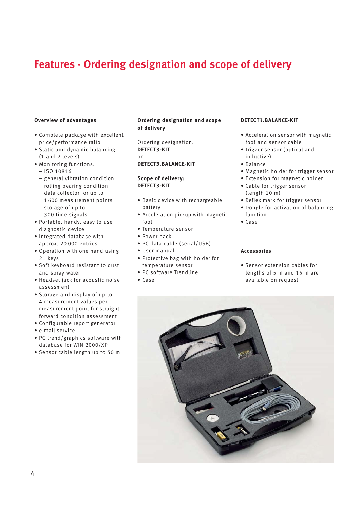### **Features · Ordering designation and scope of delivery**

#### **Overview of advantages**

- Complete package with excellent price/performance ratio
- Static and dynamic balancing (1 and 2 levels)
- Monitoring functions:
	- ISO 10816
	- general vibration condition
	- rolling bearing condition
	- data collector for up to 1600 measurement points
	- storage of up to
	- 300 time signals
- Portable, handy, easy to use diagnostic device
- Integrated database with approx. 20 000 entries
- Operation with one hand using 21 keys
- Soft keyboard resistant to dust and spray water
- Headset jack for acoustic noise assessment
- Storage and display of up to 4 measurement values per measurement point for straightforward condition assessment
- Configurable report generator
- e-mail service
- PC trend/graphics software with database for WIN 2000/XP
- Sensor cable length up to 50 m

#### **Ordering designation and scope of delivery**

Ordering designation: **DETECT3-KIT** or

#### **DETECT3.BALANCE-KIT**

#### **Scope of delivery: DETECT3-KIT**

- Basic device with rechargeable battery
- Acceleration pickup with magnetic foot
- Temperature sensor
- Power pack
- PC data cable (serial/USB)
- User manual
- Protective bag with holder for temperature sensor
- PC software Trendline
- Case

#### **DETECT3.BALANCE-KIT**

- Acceleration sensor with magnetic foot and sensor cable
- Trigger sensor (optical and inductive)
- Balance
- Magnetic holder for trigger sensor
- Extension for magnetic holder • Cable for trigger sensor
- (length 10 m)
- Reflex mark for trigger sensor
- Dongle for activation of balancing function
- Case

#### **Accessories**

• Sensor extension cables for lengths of 5 m and 15 m are available on request

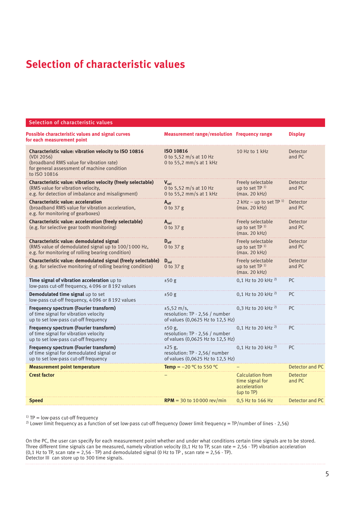## **Selection of characteristic values**

#### Selection of characteristic values

| <b>Possible characteristic values and signal curves</b><br>for each measurement point                                                                                          | <b>Measurement range/resolution Frequency range</b>                                                    |                                                                          | <b>Display</b>            |
|--------------------------------------------------------------------------------------------------------------------------------------------------------------------------------|--------------------------------------------------------------------------------------------------------|--------------------------------------------------------------------------|---------------------------|
| Characteristic value: vibration velocity to ISO 10816<br>(VDI 2056)<br>(broadband RMS value for vibration rate)<br>for general assessment of machine condition<br>to ISO 10816 | ISO 10816<br>0 to 5,52 m/s at 10 Hz<br>0 to 55,2 mm/s at 1 kHz                                         | 10 Hz to 1 kHz                                                           | <b>Detector</b><br>and PC |
| Characteristic value: vibration velocity (freely selectable)<br>(RMS value for vibration velocity,<br>e.g. for detection of imbalance and misalignment)                        | $V_{\text{cal}}$<br>0 to 5,52 m/s at 10 Hz<br>0 to 55,2 mm/s at 1 kHz                                  | Freely selectable<br>up to set TP 1)<br>(max. 20 kHz)                    | Detector<br>and PC        |
| <b>Characteristic value: acceleration</b><br>(broadband RMS value for vibration acceleration,<br>e.g. for monitoring of gearboxes)                                             | $A_{\rm eff}$<br>0 to $37 g$                                                                           | 2 kHz – up to set TP $^{1)}$<br>(max. 20 kHz)                            | Detector<br>and PC        |
| <b>Characteristic value: acceleration (freely selectable)</b><br>(e.g. for selective gear tooth monitoring)                                                                    | $A_{\rm sel}$<br>0 to $37g$                                                                            | Freely selectable<br>up to set TP 1)<br>(max. 20 kHz)                    | Detector<br>and PC        |
| Characteristic value: demodulated signal<br>(RMS value of demodulated signal up to 100/1000 Hz,<br>e.g. for monitoring of rolling bearing condition)                           | $D_{\text{eff}}$<br>0 to $37 g$                                                                        | Freely selectable<br>up to set $TP1$<br>(max. 20 kHz)                    | Detector<br>and PC        |
| Characteristic value: demodulated signal (freely selectable)<br>(e.g. for selective monitoring of rolling bearing condition)                                                   | $D_{\text{cal}}$<br>0 to 37 g                                                                          | Freely selectable<br>up to set TP 1)<br>(max. 20 kHz)                    | Detector<br>and PC        |
| Time signal of vibration acceleration up to<br>low-pass cut-off frequency, 4096 or 8192 values                                                                                 | ±50 g                                                                                                  | 0,1 Hz to 20 kHz <sup>2)</sup>                                           | PC.                       |
| Demodulated time signal up to set<br>low-pass cut-off frequency, 4096 or 8192 values                                                                                           | ±50g                                                                                                   | 0,1 Hz to 20 kHz <sup>2)</sup>                                           | PC.                       |
| Frequency spectrum (Fourier transform)<br>of time signal for vibration velocity<br>up to set low-pass cut-off frequency                                                        | $\pm 5,52 \; \text{m/s}$ ,<br>resolution: TP $\cdot$ 2,56 / number<br>of values (0,0625 Hz to 12,5 Hz) | 0.3 Hz to 20 kHz $^{2)}$                                                 | PC.                       |
| Frequency spectrum (Fourier transform)<br>of time signal for vibration velocity<br>up to set low-pass cut-off frequency                                                        | $±50 g$ ,<br>resolution: TP $\cdot$ 2,56 / number<br>of values (0,0625 Hz to 12,5 Hz)                  | 0,1 Hz to 20 kHz $^{2)}$                                                 | PC                        |
| Frequency spectrum (Fourier transform)<br>of time signal for demodulated signal or<br>up to set low-pass cut-off frequency                                                     | $±25$ g,<br>resolution: $TP \cdot 2,56/$ number<br>of values (0,0625 Hz to 12,5 Hz)                    | 0,1 Hz to 20 kHz <sup>2)</sup>                                           | PC                        |
| <b>Measurement point temperature</b>                                                                                                                                           | <b>Temp = -20 °C to 550 °C</b>                                                                         |                                                                          | Detector and PC           |
| <b>Crest factor</b>                                                                                                                                                            |                                                                                                        | <b>Calculation from</b><br>time signal for<br>acceleration<br>(up to TP) | Detector<br>and PC        |
| <b>Speed</b>                                                                                                                                                                   | <b>RPM</b> = 30 to 10 000 rev/min                                                                      | 0,5 Hz to 166 Hz                                                         | Detector and PC           |

 $1)$  TP = low-pass cut-off frequency

<sup>2)</sup> Lower limit frequency as a function of set low-pass cut-off frequency (lower limit frequency = TP/number of lines  $\cdot$  2,56)

On the PC, the user can specify for each measurement point whether and under what conditions certain time signals are to be stored. Three different time signals can be measured, namely vibration velocity (0,1 Hz to TP, scan rate = 2,56  $\cdot$  TP) vibration acceleration (0,1 Hz to TP, scan rate = 2,56  $\cdot$  TP) and demodulated signal (0 Hz to TP, scan rate = 2,56  $\cdot$  TP). Detector III can store up to 300 time signals.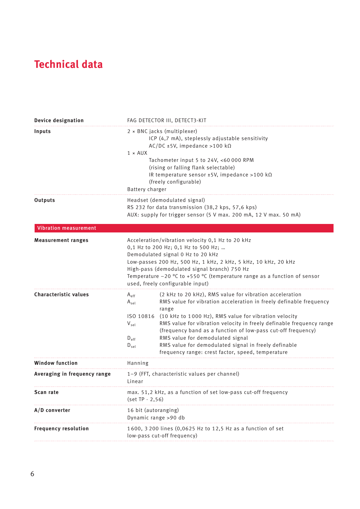## **Technical data**

| <b>Device designation</b>    |                                                                                                                                                                                                                                                                                                                                                                  | FAG DETECTOR III, DETECT3-KIT                                                                                                                                                                                                                                                                                                                                                                                                                                                                      |
|------------------------------|------------------------------------------------------------------------------------------------------------------------------------------------------------------------------------------------------------------------------------------------------------------------------------------------------------------------------------------------------------------|----------------------------------------------------------------------------------------------------------------------------------------------------------------------------------------------------------------------------------------------------------------------------------------------------------------------------------------------------------------------------------------------------------------------------------------------------------------------------------------------------|
| Inputs                       | $1 \times$ AUX<br>Battery charger                                                                                                                                                                                                                                                                                                                                | $2 \times BNC$ jacks (multiplexer)<br>ICP (4,7 mA), steplessly adjustable sensitivity<br>AC/DC ±5V, impedance >100 k $\Omega$<br>Tachometer input 5 to 24V, <60 000 RPM<br>(rising or falling flank selectable)<br>IR temperature sensor ±5V, impedance >100 kΩ<br>(freely configurable)                                                                                                                                                                                                           |
| Outputs                      | Headset (demodulated signal)<br>RS 232 for data transmission (38,2 kps, 57,6 kps)<br>AUX: supply for trigger sensor (5 V max. 200 mA, 12 V max. 50 mA)                                                                                                                                                                                                           |                                                                                                                                                                                                                                                                                                                                                                                                                                                                                                    |
| <b>Vibration measurement</b> |                                                                                                                                                                                                                                                                                                                                                                  |                                                                                                                                                                                                                                                                                                                                                                                                                                                                                                    |
| <b>Measurement ranges</b>    | Acceleration/vibration velocity 0,1 Hz to 20 kHz<br>0,1 Hz to 200 Hz; 0,1 Hz to 500 Hz;<br>Demodulated signal 0 Hz to 20 kHz<br>Low-passes 200 Hz, 500 Hz, 1 kHz, 2 kHz, 5 kHz, 10 kHz, 20 kHz<br>High-pass (demodulated signal branch) 750 Hz<br>Temperature $-20$ °C to +550 °C (temperature range as a function of sensor<br>used, freely configurable input) |                                                                                                                                                                                                                                                                                                                                                                                                                                                                                                    |
| <b>Characteristic values</b> | $A_{\text{eff}}$<br>$A_{\text{sel}}$<br>$V_{sel}$<br>$D_{\text{eff}}$<br>$D_{\text{sel}}$                                                                                                                                                                                                                                                                        | (2 kHz to 20 kHz), RMS value for vibration acceleration<br>RMS value for vibration acceleration in freely definable frequency<br>range<br>ISO 10816 (10 kHz to 1000 Hz), RMS value for vibration velocity<br>RMS value for vibration velocity in freely definable frequency range<br>(frequency band as a function of low-pass cut-off frequency)<br>RMS value for demodulated signal<br>RMS value for demodulated signal in freely definable<br>frequency range: crest factor, speed, temperature |
| <b>Window function</b>       | Hanning                                                                                                                                                                                                                                                                                                                                                          |                                                                                                                                                                                                                                                                                                                                                                                                                                                                                                    |
| Averaging in frequency range | 1-9 (FFT, characteristic values per channel)<br>Linear                                                                                                                                                                                                                                                                                                           |                                                                                                                                                                                                                                                                                                                                                                                                                                                                                                    |
| Scan rate                    | max. 51,2 kHz, as a function of set low-pass cut-off frequency<br>$(set TP \cdot 2, 56)$                                                                                                                                                                                                                                                                         |                                                                                                                                                                                                                                                                                                                                                                                                                                                                                                    |
| A/D converter                | 16 bit (autoranging)<br>Dynamic range >90 db                                                                                                                                                                                                                                                                                                                     |                                                                                                                                                                                                                                                                                                                                                                                                                                                                                                    |
| <b>Frequency resolution</b>  | 1600, 3 200 lines (0,0625 Hz to 12,5 Hz as a function of set<br>low-pass cut-off frequency)                                                                                                                                                                                                                                                                      |                                                                                                                                                                                                                                                                                                                                                                                                                                                                                                    |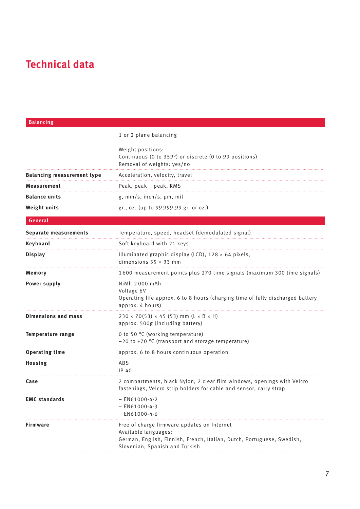## **Technical data**

| <b>Balancing</b>                  |                                                                                                                                                                                 |
|-----------------------------------|---------------------------------------------------------------------------------------------------------------------------------------------------------------------------------|
|                                   | 1 or 2 plane balancing                                                                                                                                                          |
|                                   | Weight positions:<br>Continuous (0 to 359°) or discrete (0 to 99 positions)<br>Removal of weights: yes/no                                                                       |
| <b>Balancing measurement type</b> | Acceleration, velocity, travel                                                                                                                                                  |
| Measurement                       | Peak, peak - peak, RMS                                                                                                                                                          |
| <b>Balance units</b>              | g, mm/s, inch/s, µm, mil                                                                                                                                                        |
| Weight units                      | gr., oz. (up to 99 999,99 gr. or oz.)                                                                                                                                           |
| General                           |                                                                                                                                                                                 |
| Separate measurements             | Temperature, speed, headset (demodulated signal)                                                                                                                                |
| <b>Keyboard</b>                   | Soft keyboard with 21 keys                                                                                                                                                      |
| <b>Display</b>                    | Illuminated graphic display (LCD), 128 × 64 pixels,<br>dimensions $55 \times 33$ mm                                                                                             |
| Memory                            | 1600 measurement points plus 270 time signals (maximum 300 time signals)                                                                                                        |
| <b>Power supply</b>               | NiMh 2000 mAh<br>Voltage 6V<br>Operating life approx. 6 to 8 hours (charging time of fully discharged battery<br>approx. 4 hours)                                               |
| <b>Dimensions and mass</b>        | $230 \times 70(53) \times 45(53)$ mm (L × B × H)<br>approx. 500g (including battery)                                                                                            |
| <b>Temperature range</b>          | 0 to 50 °C (working temperature)<br>-20 to +70 °C (transport and storage temperature)                                                                                           |
| <b>Operating time</b>             | approx. 6 to 8 hours continuous operation                                                                                                                                       |
| <b>Housing</b>                    | ABS<br>IP 40                                                                                                                                                                    |
| Case                              | 2 compartments, black Nylon, 2 clear film windows, openings with Velcro<br>fastenings, Velcro strip holders for cable and sensor, carry strap                                   |
| <b>EMC</b> standards              | $-$ EN61000-4-2<br>$-$ EN61000-4-3<br>$-$ EN61000-4-6                                                                                                                           |
| Firmware                          | Free of charge firmware updates on Internet<br>Available languages:<br>German, English, Finnish, French, Italian, Dutch, Portuguese, Swedish,<br>Slovenian, Spanish and Turkish |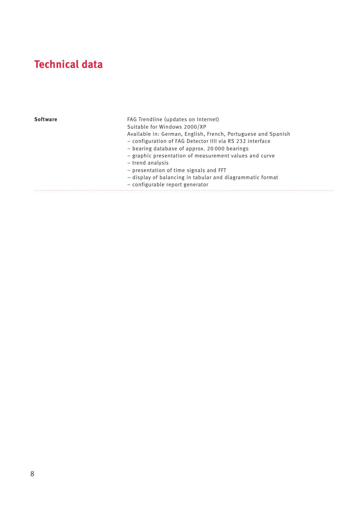## **Technical data**

| Software | FAG Trendline (updates on Internet)<br>Suitable for Windows 2000/XP<br>Available in: German, English, French, Portuguese and Spanish<br>- configuration of FAG Detector IIII via RS 232 interface<br>- bearing database of approx. 20 000 bearings<br>- graphic presentation of measurement values and curve<br>- trend analysis<br>- presentation of time signals and FFT<br>- display of balancing in tabular and diagrammatic format<br>- configurable report generator |
|----------|----------------------------------------------------------------------------------------------------------------------------------------------------------------------------------------------------------------------------------------------------------------------------------------------------------------------------------------------------------------------------------------------------------------------------------------------------------------------------|
|          |                                                                                                                                                                                                                                                                                                                                                                                                                                                                            |

. . . . . . . . . . . . . . . . . .